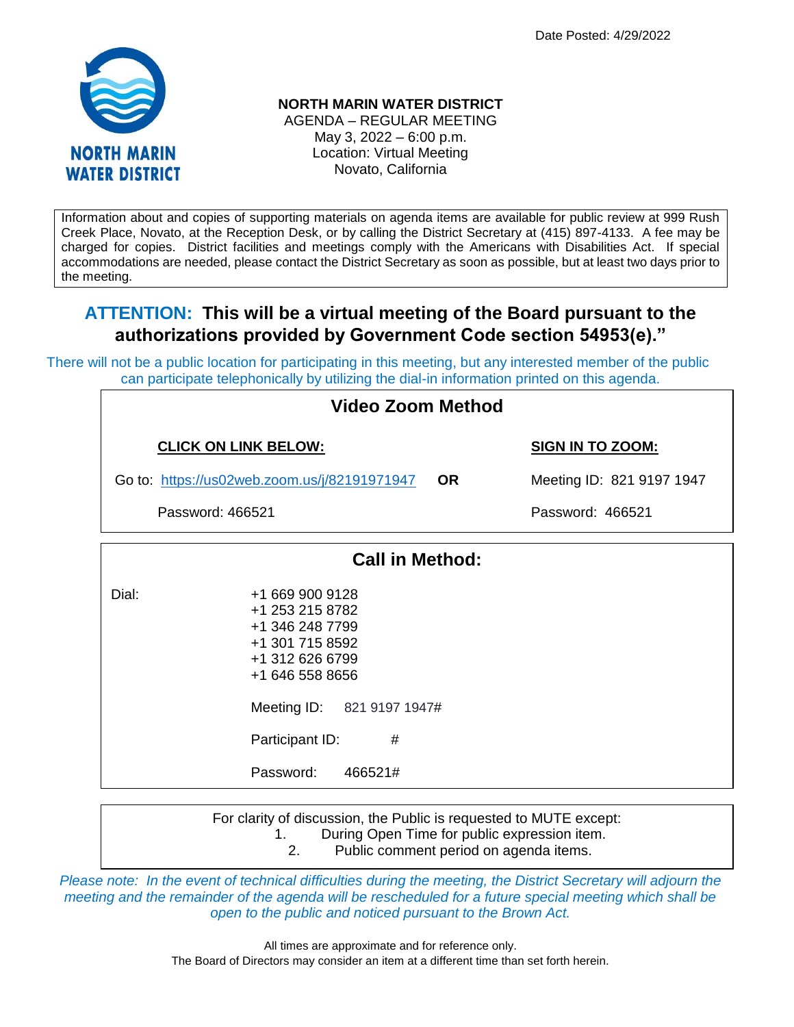Date Posted: 4/29/2022



# **NORTH MARIN WATER DISTRICT**

AGENDA – REGULAR MEETING May 3, 2022 – 6:00 p.m. Location: Virtual Meeting Novato, California

Information about and copies of supporting materials on agenda items are available for public review at 999 Rush Creek Place, Novato, at the Reception Desk, or by calling the District Secretary at (415) 897-4133. A fee may be charged for copies. District facilities and meetings comply with the Americans with Disabilities Act. If special accommodations are needed, please contact the District Secretary as soon as possible, but at least two days prior to the meeting.

# **ATTENTION: This will be a virtual meeting of the Board pursuant to the authorizations provided by Government Code section 54953(e)."**

There will not be a public location for participating in this meeting, but any interested member of the public can participate telephonically by utilizing the dial-in information printed on this agenda.

> +1 312 626 6799 +1 646 558 8656

Meeting ID: 821 9197 1947#

Participant ID: #

Password: 466521#

| <b>Video Zoom Method</b>                                  |                                                                          |                           |                         |  |  |
|-----------------------------------------------------------|--------------------------------------------------------------------------|---------------------------|-------------------------|--|--|
| <b>CLICK ON LINK BELOW:</b>                               |                                                                          |                           | <b>SIGN IN TO ZOOM:</b> |  |  |
| Go to: https://us02web.zoom.us/j/82191971947<br><b>OR</b> |                                                                          | Meeting ID: 821 9197 1947 |                         |  |  |
| Password: 466521                                          |                                                                          |                           | Password: 466521        |  |  |
|                                                           | <b>Call in Method:</b>                                                   |                           |                         |  |  |
| Dial:                                                     | +1 669 900 9128<br>+1 253 215 8782<br>+1 346 248 7799<br>+1 301 715 8592 |                           |                         |  |  |

For clarity of discussion, the Public is requested to MUTE except: 1. During Open Time for public expression item. 2. Public comment period on agenda items.

*Please note: In the event of technical difficulties during the meeting, the District Secretary will adjourn the meeting and the remainder of the agenda will be rescheduled for a future special meeting which shall be open to the public and noticed pursuant to the Brown Act.*

> All times are approximate and for reference only. The Board of Directors may consider an item at a different time than set forth herein.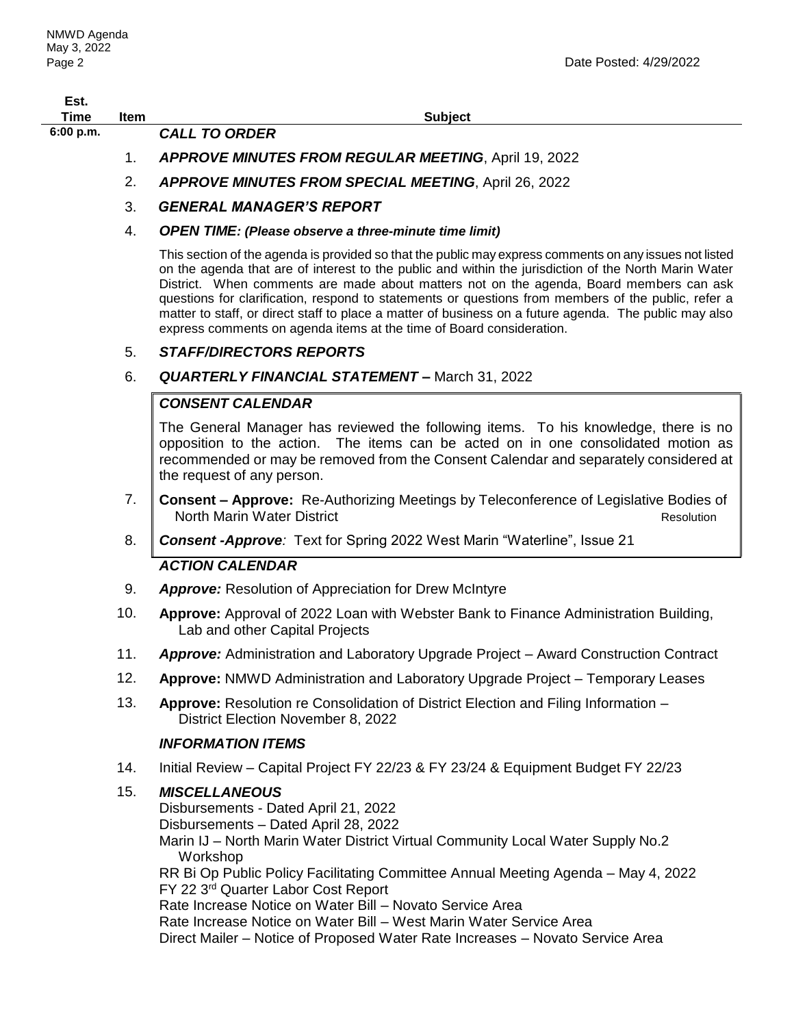| Est.<br>Time | Item | <b>Subject</b>                                              |
|--------------|------|-------------------------------------------------------------|
| 6:00 p.m.    |      | <b>CALL TO ORDER</b>                                        |
|              |      | <b>APPROVE MINUTES FROM REGULAR MEETING, April 19, 2022</b> |
|              |      | <b>APPROVE MINUTES FROM SPECIAL MEETING, April 26, 2022</b> |

- 3. *GENERAL MANAGER'S REPORT*
- 4. *OPEN TIME: (Please observe a three-minute time limit)*

This section of the agenda is provided so that the public may express comments on any issues not listed on the agenda that are of interest to the public and within the jurisdiction of the North Marin Water District. When comments are made about matters not on the agenda, Board members can ask questions for clarification, respond to statements or questions from members of the public, refer a matter to staff, or direct staff to place a matter of business on a future agenda. The public may also express comments on agenda items at the time of Board consideration.

### 5. *STAFF/DIRECTORS REPORTS*

#### 6. *QUARTERLY FINANCIAL STATEMENT –* March 31, 2022

## *CONSENT CALENDAR*

The General Manager has reviewed the following items. To his knowledge, there is no opposition to the action. The items can be acted on in one consolidated motion as recommended or may be removed from the Consent Calendar and separately considered at the request of any person.

- 7. **Consent – Approve:**Re-Authorizing Meetings by Teleconference of Legislative Bodies of North Marin Water District **Resolution** Resolution
- 8. *Consent -Approve:* Text for Spring 2022 West Marin "Waterline", Issue 21

### *ACTION CALENDAR*

- 9. *Approve:* Resolution of Appreciation for Drew McIntyre
- 10. **Approve:** Approval of 2022 Loan with Webster Bank to Finance Administration Building, Lab and other Capital Projects
- 11. *Approve:* Administration and Laboratory Upgrade Project Award Construction Contract
- 12. **Approve:** NMWD Administration and Laboratory Upgrade Project Temporary Leases
- 13. **Approve:** Resolution re Consolidation of District Election and Filing Information District Election November 8, 2022

### *INFORMATION ITEMS*

14. Initial Review – Capital Project FY 22/23 & FY 23/24 & Equipment Budget FY 22/23

# 15. *MISCELLANEOUS*

Disbursements - Dated April 21, 2022 Disbursements – Dated April 28, 2022 Marin IJ – North Marin Water District Virtual Community Local Water Supply No.2 Workshop RR Bi Op Public Policy Facilitating Committee Annual Meeting Agenda – May 4, 2022 FY 22 3<sup>rd</sup> Quarter Labor Cost Report Rate Increase Notice on Water Bill – Novato Service Area Rate Increase Notice on Water Bill – West Marin Water Service Area Direct Mailer – Notice of Proposed Water Rate Increases – Novato Service Area